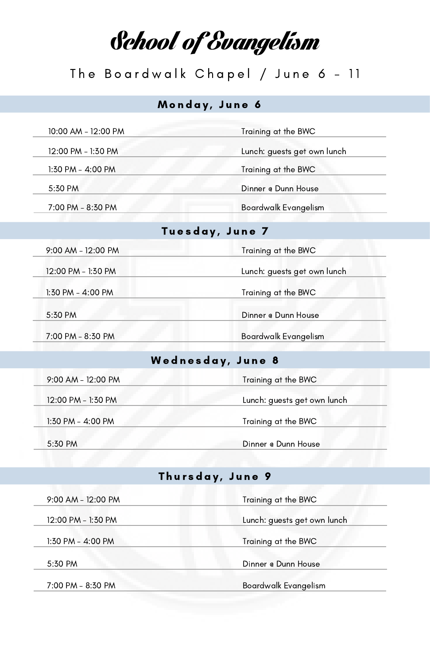School of Evangelism

## The Boardwalk Chapel / June 6 - 11

### Monday, June 6

10:00 AM - 12:00 PM Training at the BWC

12:00 PM - 1:30 PM Lunch: guests get own lunch

1:30 PM - 4:00 PM

7:00 PM - 8:30 PM

5:30 PM Dinner @ Dunn House

Tuesday, June 7

| 9:00 AM - 12:00 PM | Training at the BWC |
|--------------------|---------------------|

12:00 PM - 1:30 PM Lunch: guests get own lunch

1:30 PM - 4:00 PM Training at the BWC

5:30 PM Dinner @ Dunn House

7:00 PM - 8:30 PM Boardwalk Evangelism

#### Wednesday, June 8

| 9:00 AM - 12:00 PM | Training at the BWC         |  |
|--------------------|-----------------------------|--|
| 12:00 PM - 1:30 PM | Lunch: guests get own lunch |  |
| 1:30 PM - 4:00 PM  | Training at the BWC         |  |
| 5:30 PM            | Dinner @ Dunn House         |  |

## Thursday, June 9

| 9:00 AM - 12:00 PM | Training at the BWC         |  |
|--------------------|-----------------------------|--|
| 12:00 PM - 1:30 PM | Lunch: guests get own lunch |  |
| 1:30 PM - 4:00 PM  | Training at the BWC         |  |
| 5:30 PM            | Dinner @ Dunn House         |  |
| 7:00 PM - 8:30 PM  | <b>Boardwalk Evangelism</b> |  |